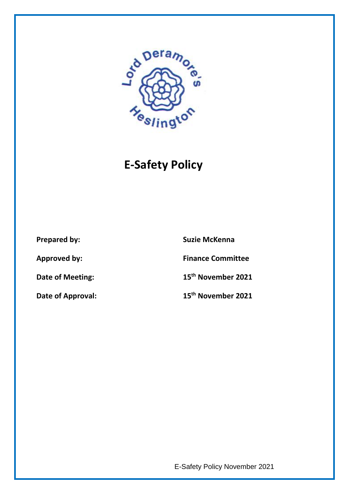

# **E-Safety Policy**

**Prepared by:** Suzie McKenna

**Approved by: Finance Committee**

**Date of Meeting: 15th November 2021**

**Date of Approval: 15th November 2021**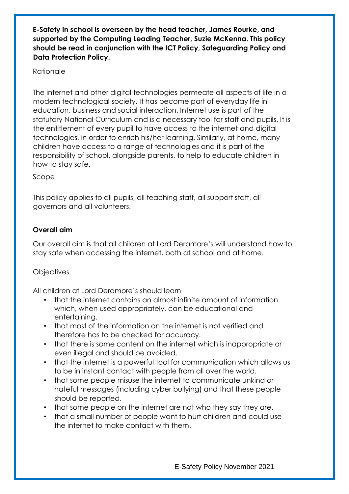**E-Safety in school is overseen by the head teacher, James Rourke, and supported by the Computing Leading Teacher, Suzie McKenna. This policy should be read in conjunction with the ICT Policy, Safeguarding Policy and Data Protection Policy.**

### Rationale

The internet and other digital technologies permeate all aspects of life in a modern technological society. It has become part of everyday life in education, business and social interaction. Internet use is part of the statutory National Curriculum and is a necessary tool for staff and pupils. It is the entitlement of every pupil to have access to the internet and digital technologies, in order to enrich his/her learning. Similarly, at home, many children have access to a range of technologies and it is part of the responsibility of school, alongside parents, to help to educate children in how to stay safe.

Scope

This policy applies to all pupils, all teaching staff, all support staff, all governors and all volunteers.

### **Overall aim**

Our overall aim is that all children at Lord Deramore's will understand how to stay safe when accessing the internet, both at school and at home.

# **Objectives**

All children at Lord Deramore's should learn

- that the internet contains an almost infinite amount of information which, when used appropriately, can be educational and entertaining.
- that most of the information on the internet is not verified and therefore has to be checked for accuracy.
- that there is some content on the internet which is inappropriate or even illegal and should be avoided.
- that the internet is a powerful tool for communication which allows us to be in instant contact with people from all over the world.
- that some people misuse the internet to communicate unkind or hateful messages (including cyber bullying) and that these people should be reported.
- that some people on the internet are not who they say they are.
- that a small number of people want to hurt children and could use the internet to make contact with them.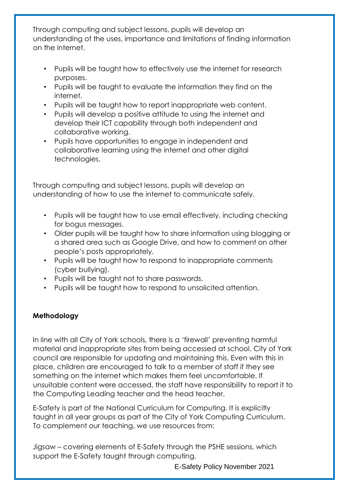Through computing and subject lessons, pupils will develop an understanding of the uses, importance and limitations of finding information on the internet.

- Pupils will be taught how to effectively use the internet for research purposes.
- Pupils will be taught to evaluate the information they find on the internet.
- Pupils will be taught how to report inappropriate web content.
- Pupils will develop a positive attitude to using the internet and develop their ICT capability through both independent and collaborative working.
- Pupils have opportunities to engage in independent and collaborative learning using the internet and other digital technologies.

Through computing and subject lessons, pupils will develop an understanding of how to use the internet to communicate safely.

- Pupils will be taught how to use email effectively, including checking for bogus messages.
- Older pupils will be taught how to share information using blogging or a shared area such as Google Drive, and how to comment on other people's posts appropriately.
- Pupils will be taught how to respond to inappropriate comments (cyber bullying).
- Pupils will be taught not to share passwords.
- Pupils will be taught how to respond to unsolicited attention.

# **Methodology**

In line with all City of York schools, there is a 'firewall' preventing harmful material and inappropriate sites from being accessed at school. City of York council are responsible for updating and maintaining this. Even with this in place, children are encouraged to talk to a member of staff if they see something on the internet which makes them feel uncomfortable. If unsuitable content were accessed, the staff have responsibility to report it to the Computing Leading teacher and the head teacher.

E-Safety is part of the National Curriculum for Computing. It is explicitly taught in all year groups as part of the City of York Computing Curriculum. To complement our teaching, we use resources from:

Jigsaw – covering elements of E-Safety through the PSHE sessions, which support the E-Safety taught through computing.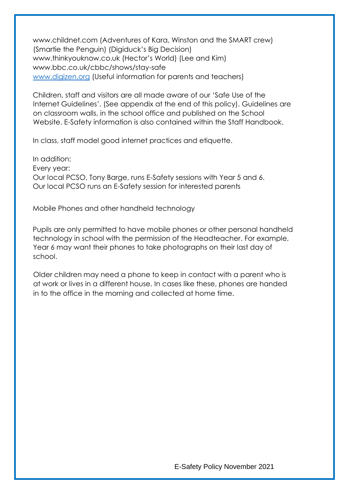www.childnet.com (Adventures of Kara, Winston and the SMART crew) (Smartie the Penguin) (Digiduck's Big Decision) www.thinkyouknow.co.uk (Hector's World) (Lee and Kim) www.bbc.co.uk/cbbc/shows/stay-safe [www.digizen.org](http://www.digizen.org/) (Useful information for parents and teachers)

Children, staff and visitors are all made aware of our 'Safe Use of the Internet Guidelines'. (See appendix at the end of this policy). Guidelines are on classroom walls, in the school office and published on the School Website. E-Safety information is also contained within the Staff Handbook.

In class, staff model good internet practices and etiquette.

In addition: Every year: Our local PCSO, Tony Barge, runs E-Safety sessions with Year 5 and 6. Our local PCSO runs an E-Safety session for interested parents

Mobile Phones and other handheld technology

Pupils are only permitted to have mobile phones or other personal handheld technology in school with the permission of the Headteacher. For example, Year 6 may want their phones to take photographs on their last day of school.

Older children may need a phone to keep in contact with a parent who is at work or lives in a different house. In cases like these, phones are handed in to the office in the morning and collected at home time.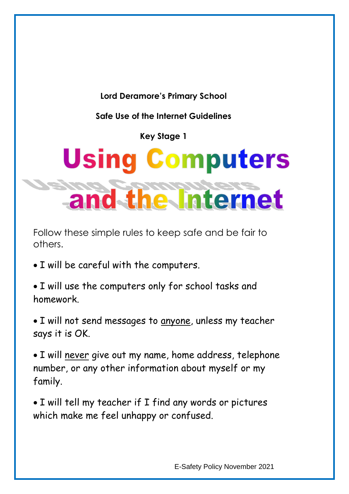**Lord Deramore's Primary School**

**Safe Use of the Internet Guidelines**

**Key Stage 1**

# **Using Computers** and the Internet

Follow these simple rules to keep safe and be fair to others.

- I will be careful with the computers.
- I will use the computers only for school tasks and homework.
- I will not send messages to anyone, unless my teacher says it is OK.
- I will never give out my name, home address, telephone number, or any other information about myself or my family.
- I will tell my teacher if I find any words or pictures which make me feel unhappy or confused.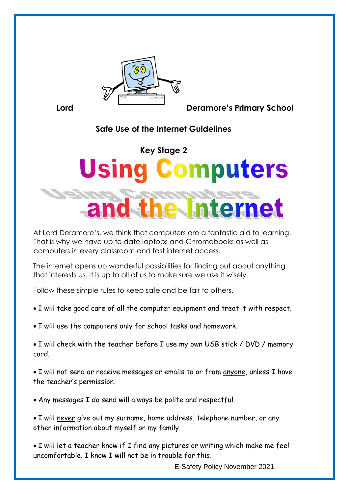

**Lord Deramore's Primary School**

# **Safe Use of the Internet Guidelines**

# **Key Stage 2 Using Computers** terne

At Lord Deramore's, we think that computers are a fantastic aid to learning. That is why we have up to date laptops and Chromebooks as well as computers in every classroom and fast internet access.

The internet opens up wonderful possibilities for finding out about anything that interests us. It is up to all of us to make sure we use it wisely.

Follow these simple rules to keep safe and be fair to others.

I will take good care of all the computer equipment and treat it with respect.

• I will use the computers only for school tasks and homework.

• I will check with the teacher before I use my own USB stick / DVD / memory card.

 I will not send or receive messages or emails to or from anyone, unless I have the teacher's permission.

Any messages I do send will always be polite and respectful.

 I will never give out my surname, home address, telephone number, or any other information about myself or my family.

 I will let a teacher know if I find any pictures or writing which make me feel uncomfortable. I know I will not be in trouble for this.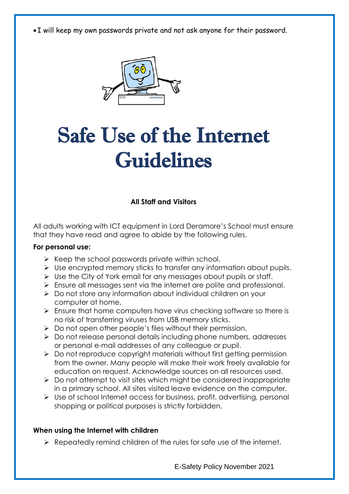I will keep my own passwords private and not ask anyone for their password.



# Safe Use of the Internet Guidelines

**All Staff and Visitors**

All adults working with ICT equipment in Lord Deramore's School must ensure that they have read and agree to abide by the following rules.

#### **For personal use:**

- $\triangleright$  Keep the school passwords private within school.
- $\triangleright$  Use encrypted memory sticks to transfer any information about pupils.
- $\triangleright$  Use the City of York email for any messages about pupils or staff.
- Ensure all messages sent via the internet are polite and professional.
- ▶ Do not store any information about individual children on your computer at home.
- $\triangleright$  Ensure that home computers have virus checking software so there is no risk of transferring viruses from USB memory sticks.
- $\triangleright$  Do not open other people's files without their permission.
- $\triangleright$  Do not release personal details including phone numbers, addresses or personal e-mail addresses of any colleague or pupil.
- $\triangleright$  Do not reproduce copyright materials without first getting permission from the owner. Many people will make their work freely available for education on request. Acknowledge sources on all resources used.
- $\triangleright$  Do not attempt to visit sites which might be considered inappropriate in a primary school. All sites visited leave evidence on the computer.
- Use of school Internet access for business, profit, advertising, personal shopping or political purposes is strictly forbidden.

#### **When using the Internet with children**

 $\triangleright$  Repeatedly remind children of the rules for safe use of the internet.